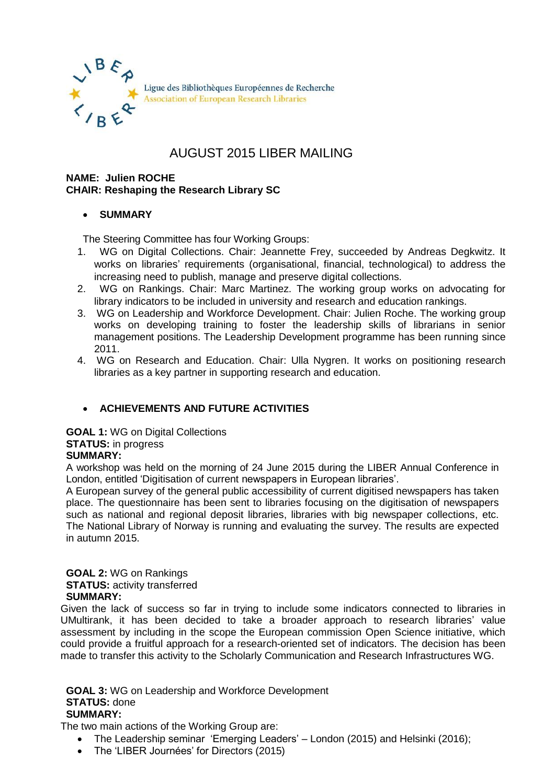

# AUGUST 2015 LIBER MAILING

### **NAME: Julien ROCHE CHAIR: Reshaping the Research Library SC**

## **SUMMARY**

The Steering Committee has four Working Groups:

- 1. WG on Digital Collections. Chair: Jeannette Frey, succeeded by Andreas Degkwitz. It works on libraries' requirements (organisational, financial, technological) to address the increasing need to publish, manage and preserve digital collections.
- 2. WG on Rankings. Chair: Marc Martinez. The working group works on advocating for library indicators to be included in university and research and education rankings.
- 3. WG on Leadership and Workforce Development. Chair: Julien Roche. The working group works on developing training to foster the leadership skills of librarians in senior management positions. The Leadership Development programme has been running since 2011.
- 4. WG on Research and Education. Chair: Ulla Nygren. It works on positioning research libraries as a key partner in supporting research and education.

## **ACHIEVEMENTS AND FUTURE ACTIVITIES**

**GOAL 1:** WG on Digital Collections **STATUS:** in progress **SUMMARY:** 

A workshop was held on the morning of 24 June 2015 during the LIBER Annual Conference in London, entitled 'Digitisation of current newspapers in European libraries'.

A European survey of the general public accessibility of current digitised newspapers has taken place. The questionnaire has been sent to libraries focusing on the digitisation of newspapers such as national and regional deposit libraries, libraries with big newspaper collections, etc. The National Library of Norway is running and evaluating the survey. The results are expected in autumn 2015.

#### **GOAL 2:** WG on Rankings **STATUS:** activity transferred **SUMMARY:**

Given the lack of success so far in trying to include some indicators connected to libraries in UMultirank, it has been decided to take a broader approach to research libraries' value assessment by including in the scope the European commission Open Science initiative, which could provide a fruitful approach for a research-oriented set of indicators. The decision has been made to transfer this activity to the Scholarly Communication and Research Infrastructures WG.

**GOAL 3:** WG on Leadership and Workforce Development **STATUS:** done **SUMMARY:** 

The two main actions of the Working Group are:

- The Leadership seminar 'Emerging Leaders' London (2015) and Helsinki (2016);
- The 'LIBER Journées' for Directors (2015)